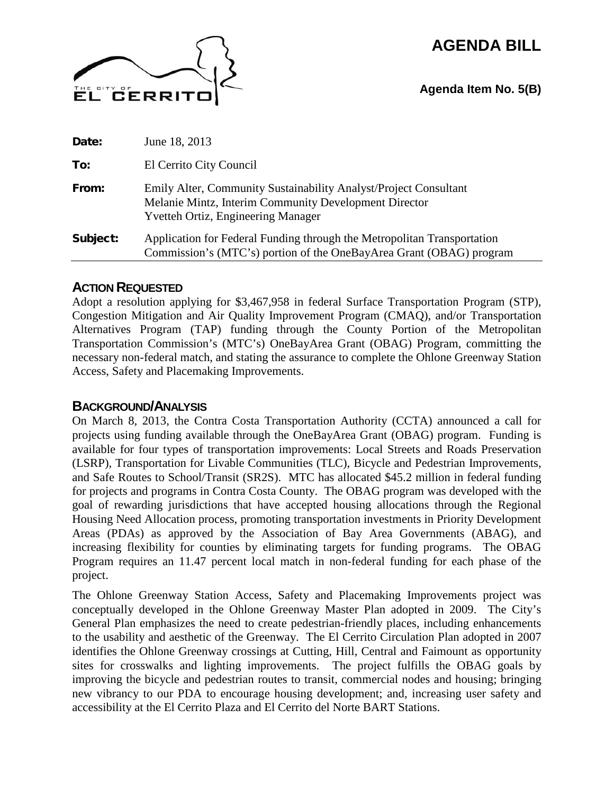# **AGENDA BILL**



**Agenda Item No. 5(B)**

| Date:    | June 18, 2013                                                                                                                                                          |
|----------|------------------------------------------------------------------------------------------------------------------------------------------------------------------------|
| To:      | El Cerrito City Council                                                                                                                                                |
| From:    | Emily Alter, Community Sustainability Analyst/Project Consultant<br>Melanie Mintz, Interim Community Development Director<br><b>Yvetteh Ortiz, Engineering Manager</b> |
| Subject: | Application for Federal Funding through the Metropolitan Transportation<br>Commission's (MTC's) portion of the OneBayArea Grant (OBAG) program                         |

# **ACTION REQUESTED**

Adopt a resolution applying for \$3,467,958 in federal Surface Transportation Program (STP), Congestion Mitigation and Air Quality Improvement Program (CMAQ), and/or Transportation Alternatives Program (TAP) funding through the County Portion of the Metropolitan Transportation Commission's (MTC's) OneBayArea Grant (OBAG) Program, committing the necessary non-federal match, and stating the assurance to complete the Ohlone Greenway Station Access, Safety and Placemaking Improvements.

# **BACKGROUND/ANALYSIS**

On March 8, 2013, the Contra Costa Transportation Authority (CCTA) announced a call for projects using funding available through the OneBayArea Grant (OBAG) program. Funding is available for four types of transportation improvements: Local Streets and Roads Preservation (LSRP), Transportation for Livable Communities (TLC), Bicycle and Pedestrian Improvements, and Safe Routes to School/Transit (SR2S). MTC has allocated \$45.2 million in federal funding for projects and programs in Contra Costa County. The OBAG program was developed with the goal of rewarding jurisdictions that have accepted housing allocations through the Regional Housing Need Allocation process, promoting transportation investments in Priority Development Areas (PDAs) as approved by the Association of Bay Area Governments (ABAG), and increasing flexibility for counties by eliminating targets for funding programs. The OBAG Program requires an 11.47 percent local match in non-federal funding for each phase of the project.

The Ohlone Greenway Station Access, Safety and Placemaking Improvements project was conceptually developed in the Ohlone Greenway Master Plan adopted in 2009. The City's General Plan emphasizes the need to create pedestrian-friendly places, including enhancements to the usability and aesthetic of the Greenway. The El Cerrito Circulation Plan adopted in 2007 identifies the Ohlone Greenway crossings at Cutting, Hill, Central and Faimount as opportunity sites for crosswalks and lighting improvements. The project fulfills the OBAG goals by improving the bicycle and pedestrian routes to transit, commercial nodes and housing; bringing new vibrancy to our PDA to encourage housing development; and, increasing user safety and accessibility at the El Cerrito Plaza and El Cerrito del Norte BART Stations.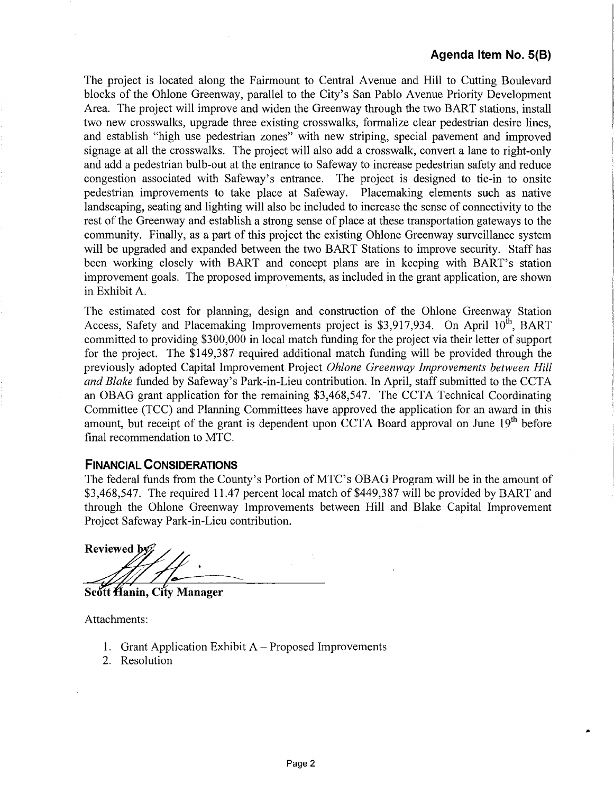..

The project is located along the Fairmount to Central Avenue and Hill to Cutting Boulevard blocks of the Ohlone Greenway, parallel to the City's San Pablo A venue Priority Development Area. The project will improve and widen the Greenway through the two BART stations, install two new crosswalks, upgrade three existing crosswalks, formalize clear pedestrian desire lines, and establish "high use pedestrian zones" with new striping, special pavement and improved signage at all the crosswalks. The project will also add a crosswalk, convert a lane to right-only and add a pedestrian bulb-out at the entrance to Safeway to increase pedestrian safety and reduce congestion associated with Safeway's entrance. The project is designed to tie-in to onsite pedestrian improvements to take place at Safeway. Placemaking elements such as native landscaping, seating and lighting will also be included to increase the sense of connectivity to the rest of the Greenway and establish a strong sense of place at these transportation gateways to the community. Finally, as a part of this project the existing Ohlone Greenway surveillance system will be upgraded and expanded between the two BART Stations to improve security. Staff has been working closely with BART and concept plans are in keeping with BART's station improvement goals. The proposed improvements, as included in the grant application, are shown in Exhibit A.

The estimated cost for planning, design and construction of the Ohlone Greenway Station Access, Safety and Placemaking Improvements project is \$3,917,934. On April 10<sup>th</sup>, BART committed to providing \$300,000 in local match funding for the project via their letter of support for the project. The \$149,387 required additional match funding will be provided through the previously adopted Capital Improvement Project *Ohlone Greenway Improvements between Hill and Blake* funded by Safeway's Park-in-Lieu contribution. In April, staff submitted to the CCTA an OBAG grant application for the remaining \$3,468,547. The CCTA Technical Coordinating Committee (TCC) and Planning Committees have approved the application for an award in this amount, but receipt of the grant is dependent upon CCTA Board approval on June 19<sup>th</sup> before final recommendation to MTC.

## **FINANCIAL CONSIDERATIONS**

The federal funds from the County's Portion of MTC's OBAG Program will be in the amount of \$3,468,547. The required 11.47 percent local match of \$449,387 will be provided by BART and through the Ohlone Greenway Improvements between Hill and Blake Capital Improvement Project Safeway Park-in-Lieu contribution.

Reviewed by

Scott Hanin, City Manager

Attachments:

- 1. Grant Application Exhibit  $A$  Proposed Improvements
- 2. Resolution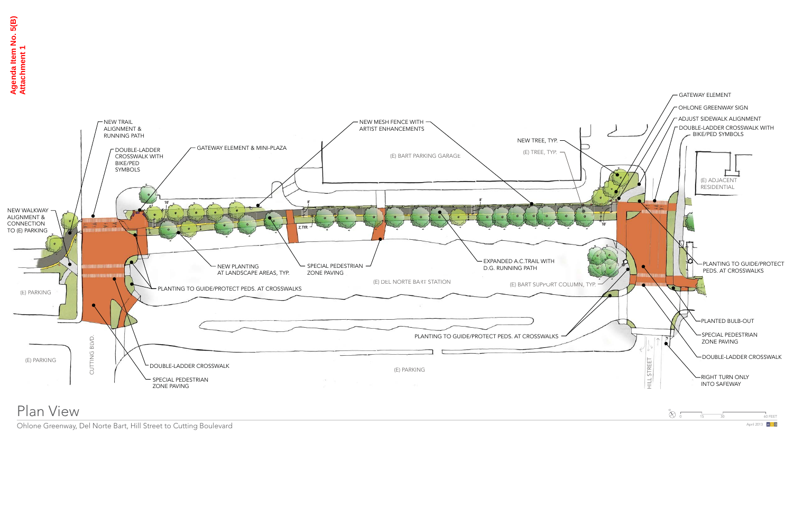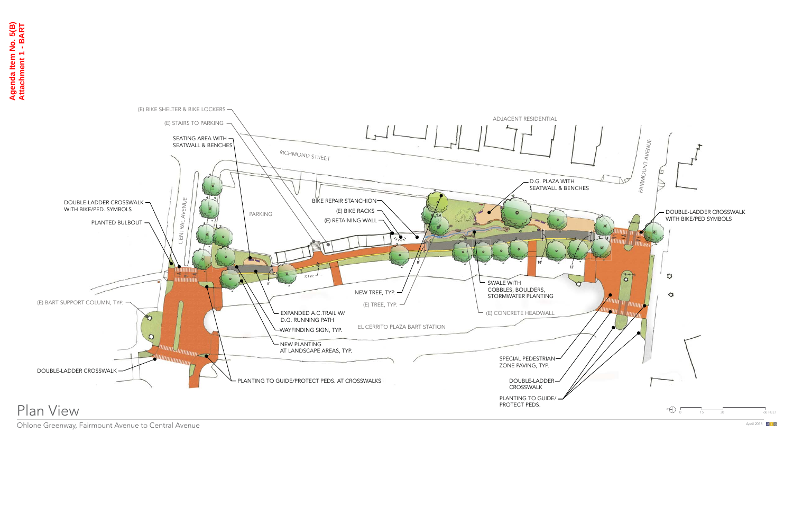

Ohlone Greenway, Fairmount Avenue to Central Avenue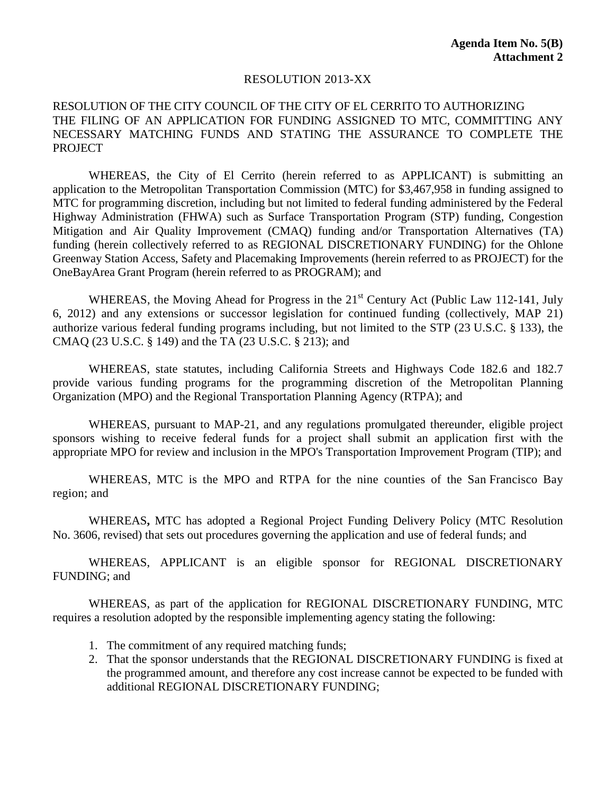### RESOLUTION 2013-XX

## RESOLUTION OF THE CITY COUNCIL OF THE CITY OF EL CERRITO TO AUTHORIZING THE FILING OF AN APPLICATION FOR FUNDING ASSIGNED TO MTC, COMMITTING ANY NECESSARY MATCHING FUNDS AND STATING THE ASSURANCE TO COMPLETE THE PROJECT

WHEREAS, the City of El Cerrito (herein referred to as APPLICANT) is submitting an application to the Metropolitan Transportation Commission (MTC) for \$3,467,958 in funding assigned to MTC for programming discretion, including but not limited to federal funding administered by the Federal Highway Administration (FHWA) such as Surface Transportation Program (STP) funding, Congestion Mitigation and Air Quality Improvement (CMAQ) funding and/or Transportation Alternatives (TA) funding (herein collectively referred to as REGIONAL DISCRETIONARY FUNDING) for the Ohlone Greenway Station Access, Safety and Placemaking Improvements (herein referred to as PROJECT) for the OneBayArea Grant Program (herein referred to as PROGRAM); and

WHEREAS, the Moving Ahead for Progress in the  $21<sup>st</sup>$  Century Act (Public Law 112-141, July 6, 2012) and any extensions or successor legislation for continued funding (collectively, MAP 21) authorize various federal funding programs including, but not limited to the STP (23 U.S.C. § 133), the CMAQ (23 U.S.C. § 149) and the TA (23 U.S.C. § 213); and

WHEREAS, state statutes, including California Streets and Highways Code 182.6 and 182.7 provide various funding programs for the programming discretion of the Metropolitan Planning Organization (MPO) and the Regional Transportation Planning Agency (RTPA); and

WHEREAS, pursuant to MAP-21, and any regulations promulgated thereunder, eligible project sponsors wishing to receive federal funds for a project shall submit an application first with the appropriate MPO for review and inclusion in the MPO's Transportation Improvement Program (TIP); and

WHEREAS, MTC is the MPO and RTPA for the nine counties of the San Francisco Bay region; and

WHEREAS**,** MTC has adopted a Regional Project Funding Delivery Policy (MTC Resolution No. 3606, revised) that sets out procedures governing the application and use of federal funds; and

WHEREAS, APPLICANT is an eligible sponsor for REGIONAL DISCRETIONARY FUNDING; and

WHEREAS, as part of the application for REGIONAL DISCRETIONARY FUNDING, MTC requires a resolution adopted by the responsible implementing agency stating the following:

- 1. The commitment of any required matching funds;
- 2. That the sponsor understands that the REGIONAL DISCRETIONARY FUNDING is fixed at the programmed amount, and therefore any cost increase cannot be expected to be funded with additional REGIONAL DISCRETIONARY FUNDING;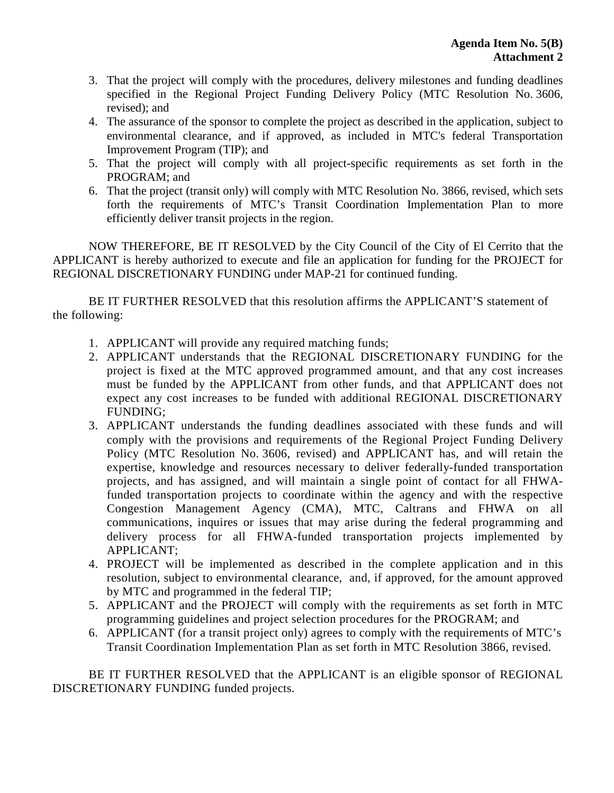- 3. That the project will comply with the procedures, delivery milestones and funding deadlines specified in the Regional Project Funding Delivery Policy (MTC Resolution No. 3606, revised); and
- 4. The assurance of the sponsor to complete the project as described in the application, subject to environmental clearance, and if approved, as included in MTC's federal Transportation Improvement Program (TIP); and
- 5. That the project will comply with all project-specific requirements as set forth in the PROGRAM; and
- 6. That the project (transit only) will comply with MTC Resolution No. 3866, revised, which sets forth the requirements of MTC's Transit Coordination Implementation Plan to more efficiently deliver transit projects in the region.

NOW THEREFORE, BE IT RESOLVED by the City Council of the City of El Cerrito that the APPLICANT is hereby authorized to execute and file an application for funding for the PROJECT for REGIONAL DISCRETIONARY FUNDING under MAP-21 for continued funding.

BE IT FURTHER RESOLVED that this resolution affirms the APPLICANT'S statement of the following:

- 1. APPLICANT will provide any required matching funds;
- 2. APPLICANT understands that the REGIONAL DISCRETIONARY FUNDING for the project is fixed at the MTC approved programmed amount, and that any cost increases must be funded by the APPLICANT from other funds, and that APPLICANT does not expect any cost increases to be funded with additional REGIONAL DISCRETIONARY FUNDING;
- 3. APPLICANT understands the funding deadlines associated with these funds and will comply with the provisions and requirements of the Regional Project Funding Delivery Policy (MTC Resolution No. 3606, revised) and APPLICANT has, and will retain the expertise, knowledge and resources necessary to deliver federally-funded transportation projects, and has assigned, and will maintain a single point of contact for all FHWAfunded transportation projects to coordinate within the agency and with the respective Congestion Management Agency (CMA), MTC, Caltrans and FHWA on all communications, inquires or issues that may arise during the federal programming and delivery process for all FHWA-funded transportation projects implemented by APPLICANT;
- 4. PROJECT will be implemented as described in the complete application and in this resolution, subject to environmental clearance, and, if approved, for the amount approved by MTC and programmed in the federal TIP;
- 5. APPLICANT and the PROJECT will comply with the requirements as set forth in MTC programming guidelines and project selection procedures for the PROGRAM; and
- 6. APPLICANT (for a transit project only) agrees to comply with the requirements of MTC's Transit Coordination Implementation Plan as set forth in MTC Resolution 3866, revised.

BE IT FURTHER RESOLVED that the APPLICANT is an eligible sponsor of REGIONAL DISCRETIONARY FUNDING funded projects.